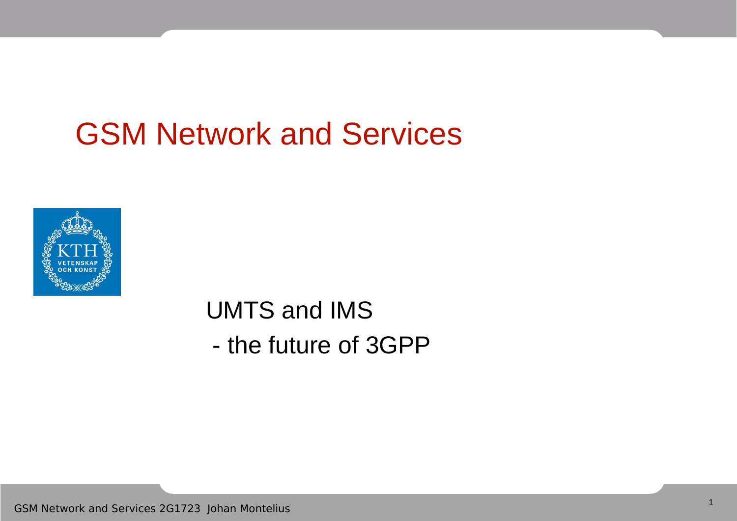## GSM Network and Services



UMTS and IMS - the future of 3GPP

GSM Network and Services 2G1723 Johan Montelius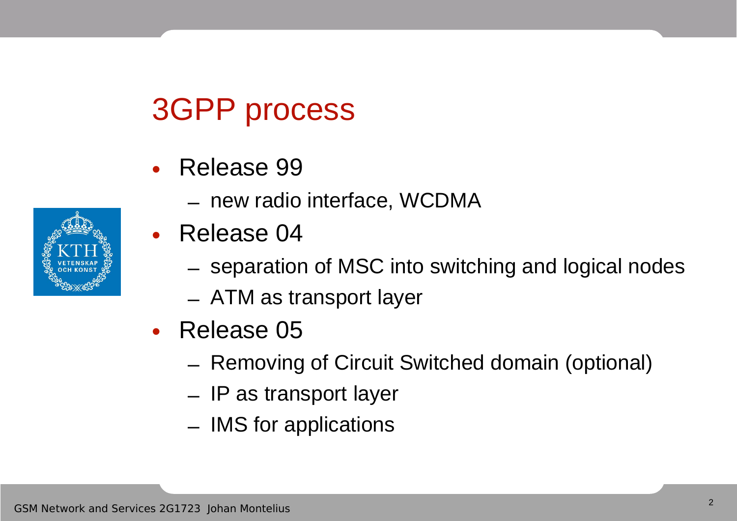### 3GPP process

- Release 99
	- new radio interface, WCDMA
- Release 04
	- separation of MSC into switching and logical nodes
	- ATM as transport layer
- Release 05
	- Removing of Circuit Switched domain (optional)
	- IP as transport layer
	- IMS for applications

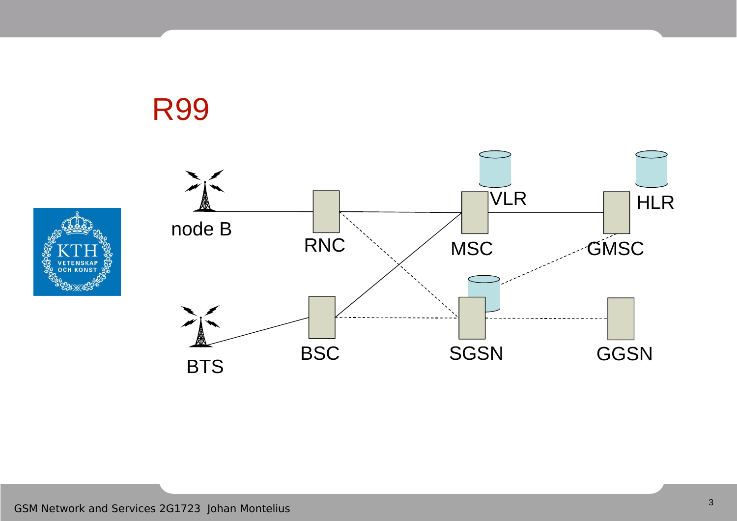



R99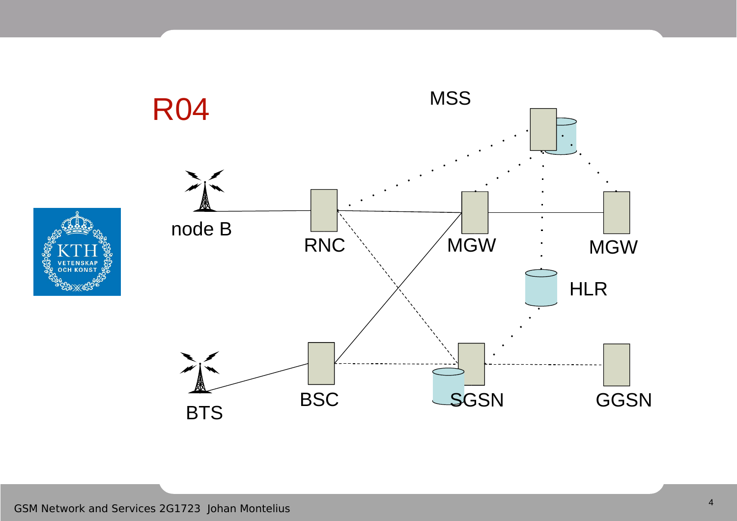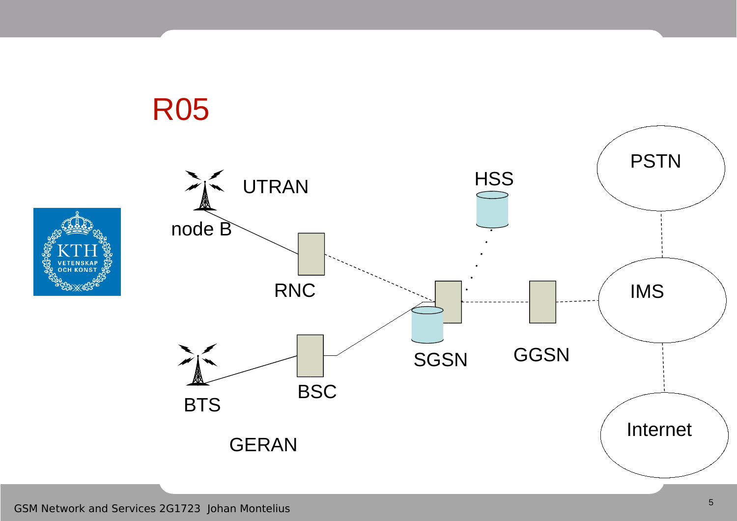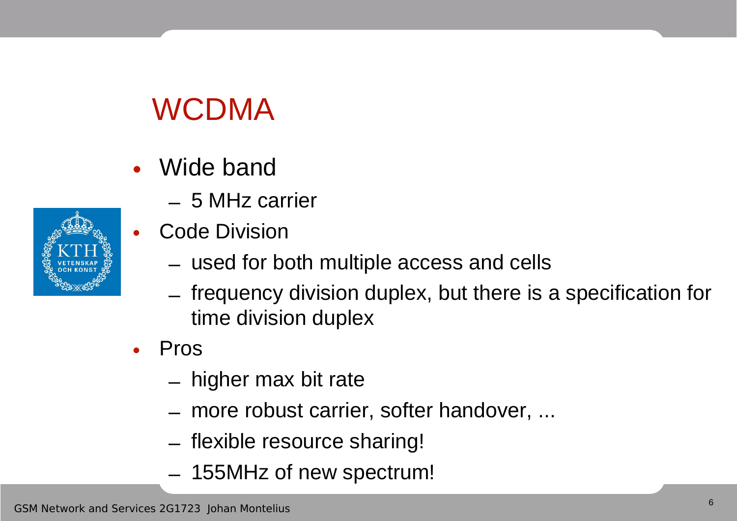# WCDMA

- Wide band
	- 5 MHz carrier
- **Code Division** 
	- used for both multiple access and cells
	- frequency division duplex, but there is a specification for time division duplex
- Pros
	- higher max bit rate
	- more robust carrier, softer handover, ...
	- flexible resource sharing!
	- 155MHz of new spectrum!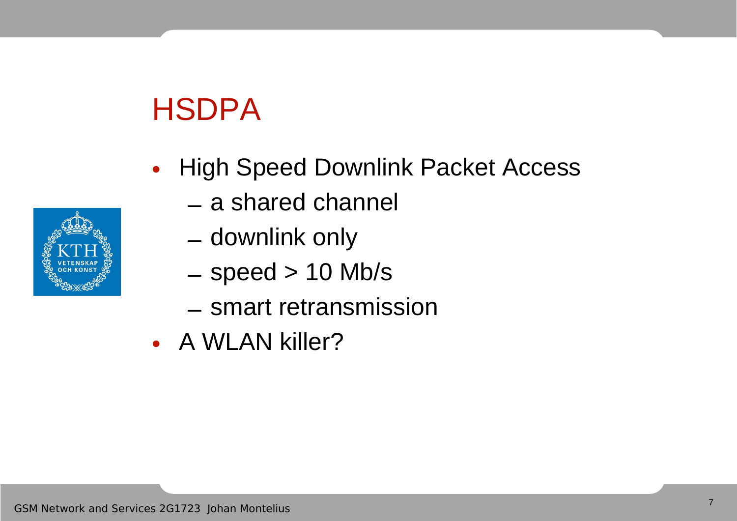## **HSDPA**

- High Speed Downlink Packet Access
	- a shared channel
	- downlink only
	- $-$  speed  $> 10$  Mb/s
	- smart retransmission
- A WLAN killer?

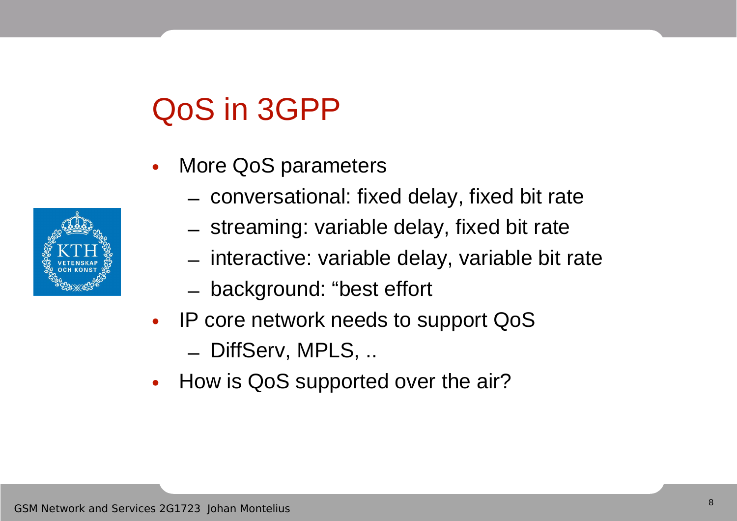## QoS in 3GPP

- More QoS parameters
	- conversational: fixed delay, fixed bit rate
	- streaming: variable delay, fixed bit rate
	- interactive: variable delay, variable bit rate
	- background: "best effort
- IP core network needs to support QoS
	- DiffServ, MPLS, ..
- How is QoS supported over the air?

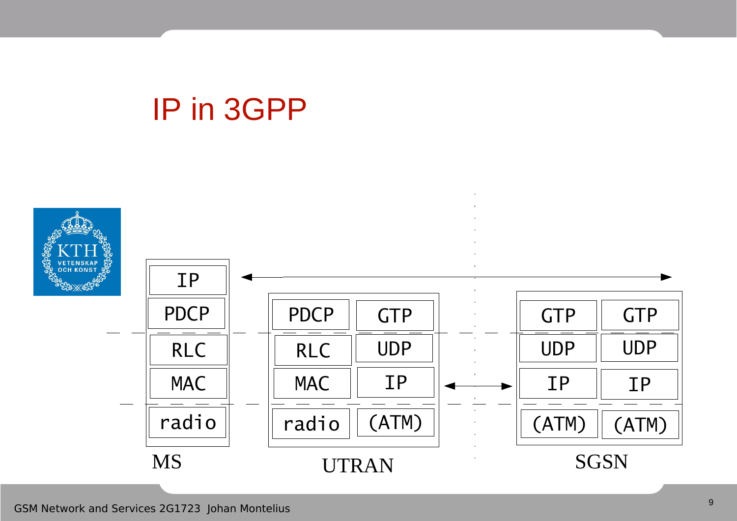#### IP in 3GPP

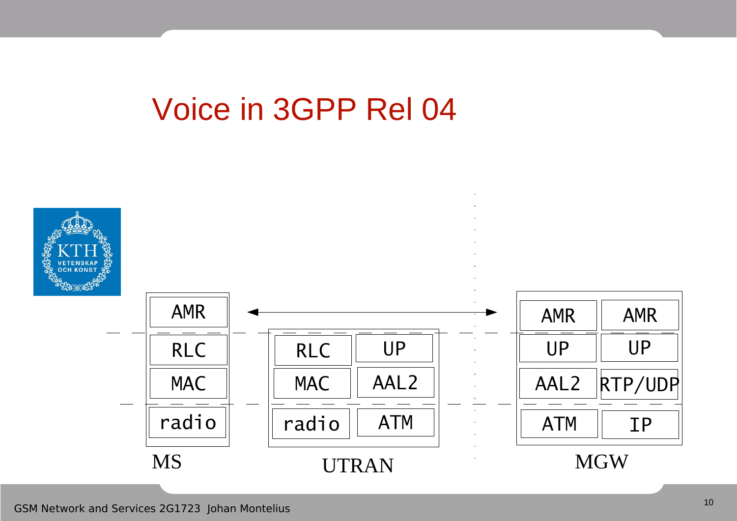#### Voice in 3GPP Rel 04

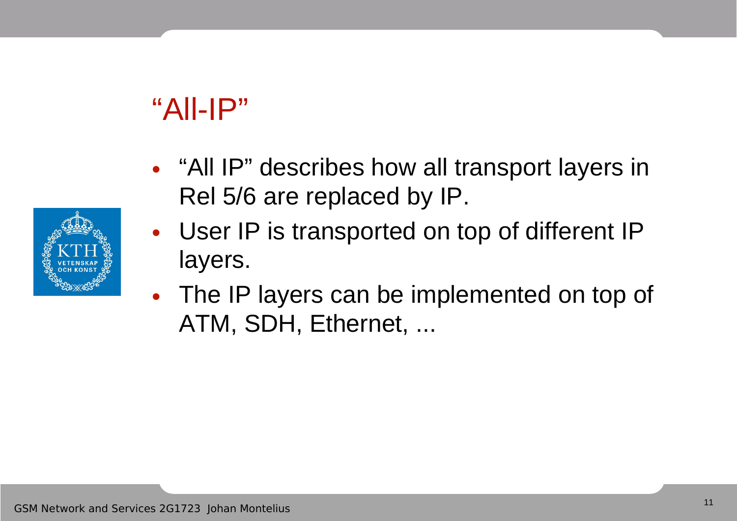## $"All-IP"$

- "All IP" describes how all transport layers in Rel 5/6 are replaced by IP.
- User IP is transported on top of different IP layers.
- The IP layers can be implemented on top of ATM, SDH, Ethernet, ...

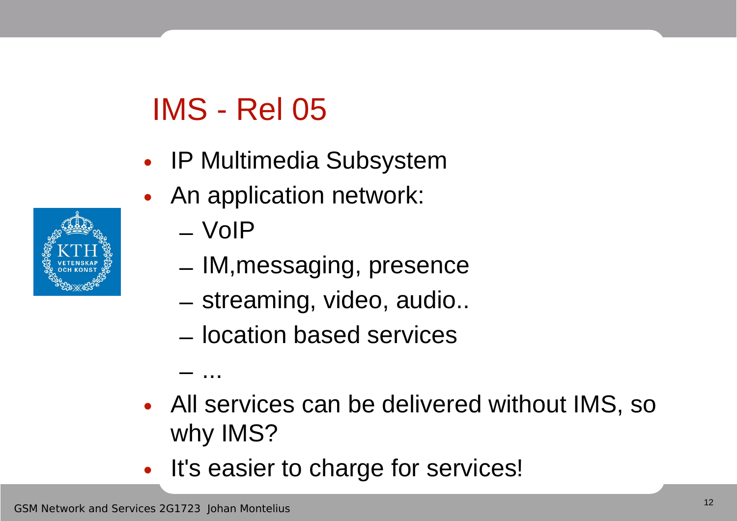## IMS - Rel 05

- IP Multimedia Subsystem
- An application network:
	- VoIP

– ...

- IM,messaging, presence
- streaming, video, audio..
- location based services
- All services can be delivered without IMS, so why IMS?
- It's easier to charge for services!

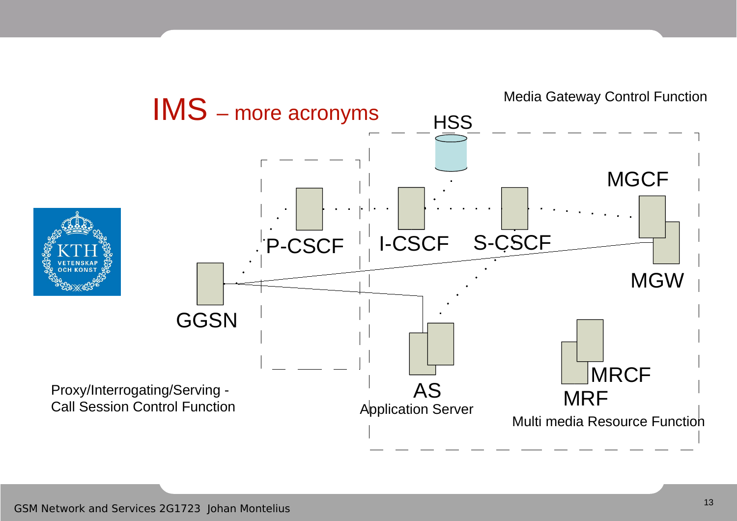